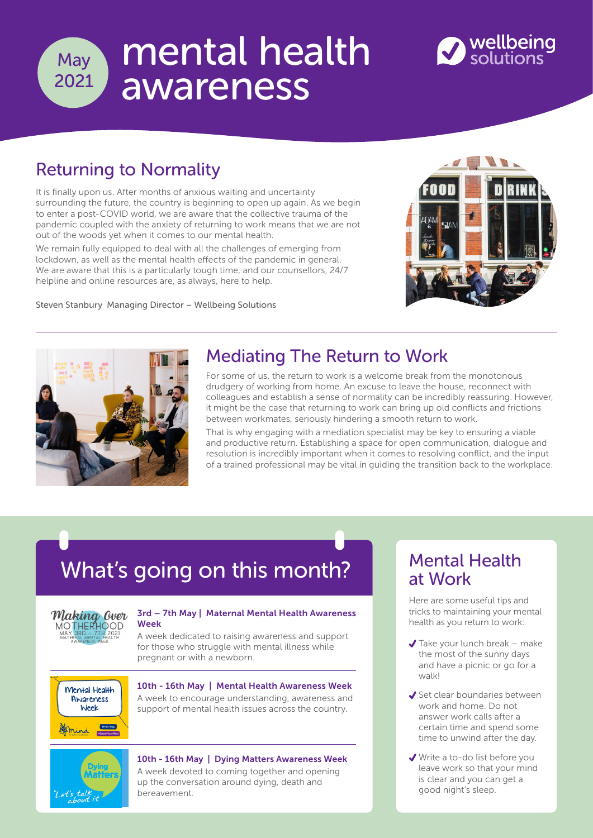

# mental health awareness



## Returning to Normality

It is finally upon us. After months of anxious waiting and uncertainty surrounding the future, the country is beginning to open up again. As we begin to enter a post-COVID world, we are aware that the collective trauma of the pandemic coupled with the anxiety of returning to work means that we are not out of the woods yet when it comes to our mental health.

We remain fully equipped to deal with all the challenges of emerging from lockdown, as well as the mental health effects of the pandemic in general. We are aware that this is a particularly tough time, and our counsellors, 24/7 helpline and online resources are, as always, here to help.

Steven Stanbury Managing Director – Wellbeing Solutions





### Mediating The Return to Work

For some of us, the return to work is a welcome break from the monotonous drudgery of working from home. An excuse to leave the house, reconnect with colleagues and establish a sense of normality can be incredibly reassuring. However, it might be the case that returning to work can bring up old conflicts and frictions between workmates, seriously hindering a smooth return to work.

That is why engaging with a mediation specialist may be key to ensuring a viable and productive return. Establishing a space for open communication, dialogue and resolution is incredibly important when it comes to resolving conflict, and the input of a trained professional may be vital in guiding the transition back to the workplace.

# What's going on this month?



#### [3rd – 7th May | Maternal Mental Health Awareness](https://perinatalmhpartnership.com/)  Week

A week dedicated to raising awareness and support for those who struggle with mental illness while pregnant or with a newborn.



10th - 16th May | Mental Health Awareness Week

[A week to encourage understanding, awareness and](https://www.mind.org.uk/get-involved/mental-health-awareness-week)  support of mental health issues across the country.



#### [10th - 16th May | Dying Matters Awareness Week](https://www.dyingmatters.org/AwarenessWeek)

A week devoted to coming together and opening up the conversation around dying, death and bereavement.

#### Mental Health at Work

Here are some useful tips and tricks to maintaining your mental health as you return to work:

- $\blacktriangleright$  Take your lunch break make the most of the sunny days and have a picnic or go for a walk!
- Set clear boundaries between work and home. Do not answer work calls after a certain time and spend some time to unwind after the day.
- Write a to-do list before you leave work so that your mind is clear and you can get a good night's sleep.